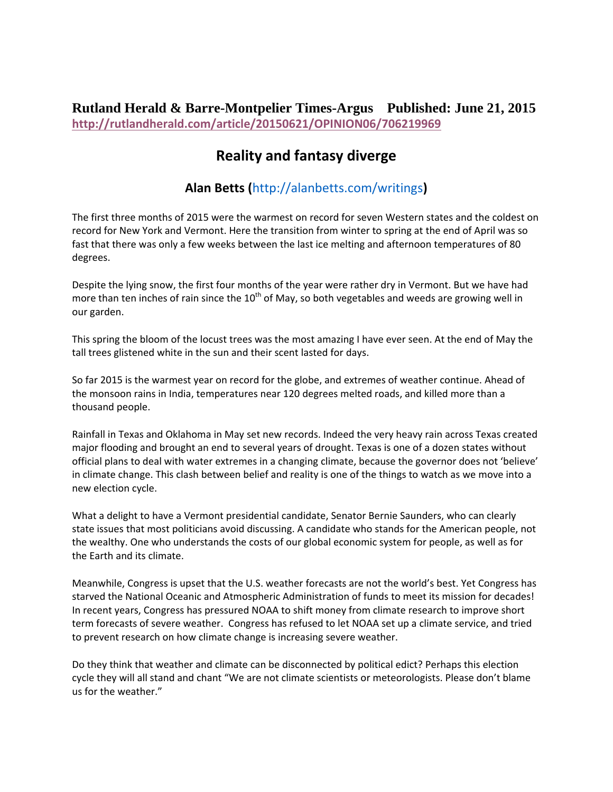## **Rutland Herald & Barre-Montpelier Times-Argus Published: June 21, 2015 http://rutlandherald.com/article/20150621/OPINION06/706219969**

## **Reality and fantasy diverge**

## **Alan Betts (**http://alanbetts.com/writings**)**

The first three months of 2015 were the warmest on record for seven Western states and the coldest on record for New York and Vermont. Here the transition from winter to spring at the end of April was so fast that there was only a few weeks between the last ice melting and afternoon temperatures of 80 degrees.

Despite the lying snow, the first four months of the year were rather dry in Vermont. But we have had more than ten inches of rain since the  $10^{th}$  of May, so both vegetables and weeds are growing well in our garden.

This spring the bloom of the locust trees was the most amazing I have ever seen. At the end of May the tall trees glistened white in the sun and their scent lasted for days.

So far 2015 is the warmest year on record for the globe, and extremes of weather continue. Ahead of the monsoon rains in India, temperatures near 120 degrees melted roads, and killed more than a thousand people.

Rainfall in Texas and Oklahoma in May set new records. Indeed the very heavy rain across Texas created major flooding and brought an end to several years of drought. Texas is one of a dozen states without official plans to deal with water extremes in a changing climate, because the governor does not 'believe' in climate change. This clash between belief and reality is one of the things to watch as we move into a new election cycle.

What a delight to have a Vermont presidential candidate, Senator Bernie Saunders, who can clearly state issues that most politicians avoid discussing. A candidate who stands for the American people, not the wealthy. One who understands the costs of our global economic system for people, as well as for the Earth and its climate.

Meanwhile, Congress is upset that the U.S. weather forecasts are not the world's best. Yet Congress has starved the National Oceanic and Atmospheric Administration of funds to meet its mission for decades! In recent years, Congress has pressured NOAA to shift money from climate research to improve short term forecasts of severe weather. Congress has refused to let NOAA set up a climate service, and tried to prevent research on how climate change is increasing severe weather.

Do they think that weather and climate can be disconnected by political edict? Perhaps this election cycle they will all stand and chant "We are not climate scientists or meteorologists. Please don't blame us for the weather."